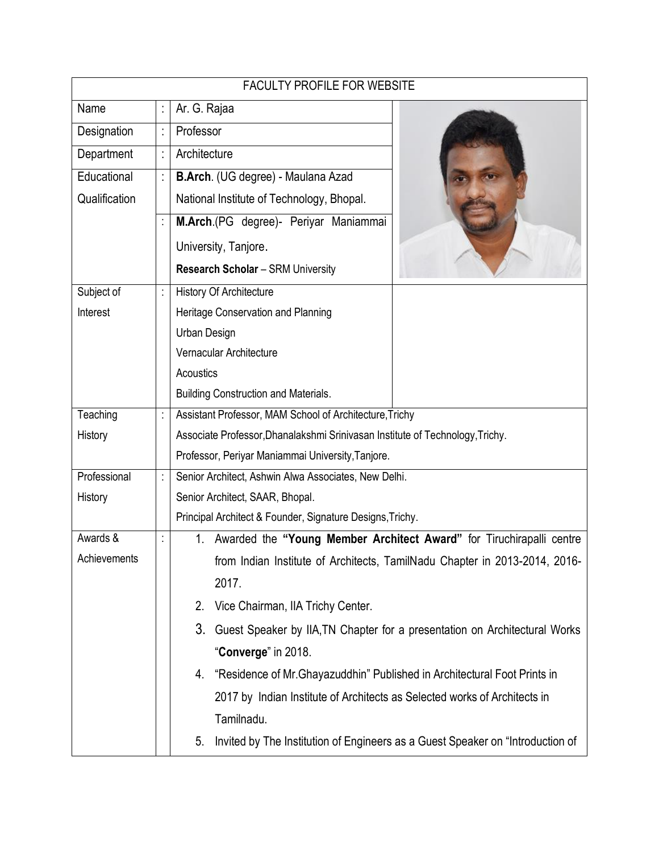| <b>FACULTY PROFILE FOR WEBSITE</b> |   |                                                                                      |  |
|------------------------------------|---|--------------------------------------------------------------------------------------|--|
| Name                               |   | Ar. G. Rajaa                                                                         |  |
| Designation                        | t | Professor                                                                            |  |
| Department                         |   | Architecture                                                                         |  |
| Educational                        |   | B.Arch. (UG degree) - Maulana Azad                                                   |  |
| Qualification                      |   | National Institute of Technology, Bhopal.                                            |  |
|                                    |   | M.Arch.(PG degree)- Periyar Maniammai                                                |  |
|                                    |   | University, Tanjore.                                                                 |  |
|                                    |   | <b>Research Scholar - SRM University</b>                                             |  |
| Subject of                         |   | History Of Architecture                                                              |  |
| Interest                           |   | Heritage Conservation and Planning                                                   |  |
|                                    |   | Urban Design                                                                         |  |
|                                    |   | Vernacular Architecture                                                              |  |
|                                    |   | Acoustics                                                                            |  |
|                                    |   | <b>Building Construction and Materials.</b>                                          |  |
| Teaching                           |   | Assistant Professor, MAM School of Architecture, Trichy                              |  |
| History                            |   | Associate Professor, Dhanalakshmi Srinivasan Institute of Technology, Trichy.        |  |
|                                    |   | Professor, Periyar Maniammai University, Tanjore.                                    |  |
| Professional                       |   | Senior Architect, Ashwin Alwa Associates, New Delhi.                                 |  |
| History                            |   | Senior Architect, SAAR, Bhopal.                                                      |  |
|                                    |   | Principal Architect & Founder, Signature Designs, Trichy.                            |  |
| Awards &                           |   | Awarded the "Young Member Architect Award" for Tiruchirapalli centre<br>1.           |  |
| Achievements                       |   | from Indian Institute of Architects, TamilNadu Chapter in 2013-2014, 2016-           |  |
|                                    |   | 2017.                                                                                |  |
|                                    |   | Vice Chairman, IIA Trichy Center.<br>2.                                              |  |
|                                    |   | 3.<br>Guest Speaker by IIA, TN Chapter for a presentation on Architectural Works     |  |
|                                    |   | "Converge" in 2018.                                                                  |  |
|                                    |   | "Residence of Mr. Ghayazuddhin" Published in Architectural Foot Prints in<br>4.      |  |
|                                    |   | 2017 by Indian Institute of Architects as Selected works of Architects in            |  |
|                                    |   | Tamilnadu.                                                                           |  |
|                                    |   | Invited by The Institution of Engineers as a Guest Speaker on "Introduction of<br>5. |  |